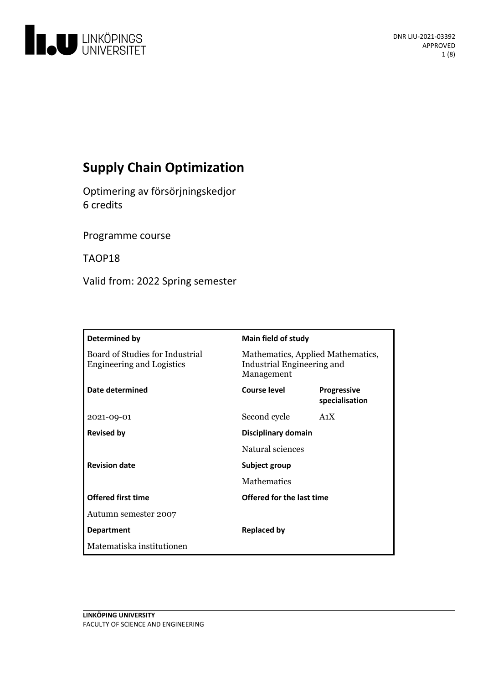

# **Supply Chain Optimization**

Optimeringav försörjningskedjor 6 credits

Programme course

TAOP18

Valid from: 2022 Spring semester

| Determined by                                                       | <b>Main field of study</b>                                                    |                                      |
|---------------------------------------------------------------------|-------------------------------------------------------------------------------|--------------------------------------|
| Board of Studies for Industrial<br><b>Engineering and Logistics</b> | Mathematics, Applied Mathematics,<br>Industrial Engineering and<br>Management |                                      |
| Date determined                                                     | Course level                                                                  | <b>Progressive</b><br>specialisation |
| 2021-09-01                                                          | Second cycle                                                                  | A <sub>1</sub> X                     |
| <b>Revised by</b>                                                   | Disciplinary domain                                                           |                                      |
|                                                                     | Natural sciences                                                              |                                      |
| <b>Revision date</b>                                                | Subject group                                                                 |                                      |
|                                                                     | <b>Mathematics</b>                                                            |                                      |
| <b>Offered first time</b>                                           | Offered for the last time                                                     |                                      |
| Autumn semester 2007                                                |                                                                               |                                      |
| <b>Department</b>                                                   | <b>Replaced by</b>                                                            |                                      |
| Matematiska institutionen                                           |                                                                               |                                      |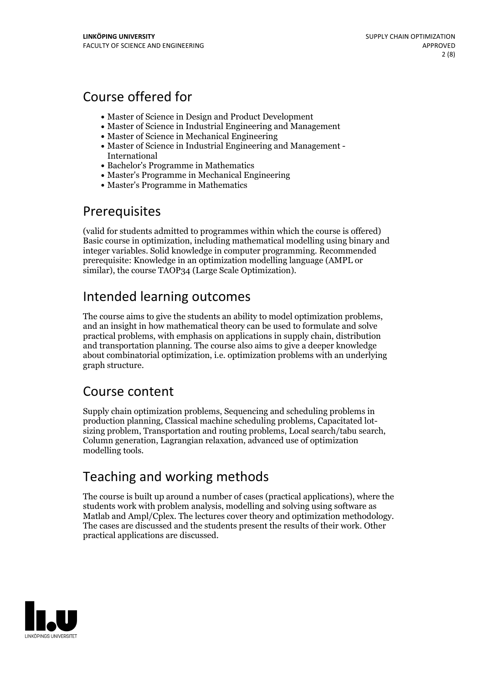## Course offered for

- Master of Science in Design and Product Development
- Master of Science in Industrial Engineering and Management
- Master of Science in Mechanical Engineering
- Master of Science in Industrial Engineering and Management International
- Bachelor's Programme in Mathematics
- Master's Programme in Mechanical Engineering
- Master's Programme in Mathematics

## **Prerequisites**

(valid for students admitted to programmes within which the course is offered) Basic course in optimization, including mathematical modelling using binary and integer variables. Solid knowledge in computer programming. Recommended prerequisite: Knowledge in an optimization modelling language (AMPL or similar), the course TAOP34 (Large Scale Optimization).

# Intended learning outcomes

The course aims to give the students an ability to model optimization problems, and an insight in how mathematical theory can be used to formulate and solve practical problems, with emphasis on applications in supply chain, distribution and transportation planning. The course also aims to give a deeper knowledge about combinatorial optimization, i.e. optimization problems with an underlying graph structure.

## Course content

Supply chain optimization problems, Sequencing and scheduling problems in production planning, Classical machine scheduling problems, Capacitated lot-<br>sizing problem, Transportation and routing problems, Local search/tabu search,<br>Column generation, Lagrangian relaxation, advanced use of optimiza modelling tools.

# Teaching and working methods

The course is built up around a number of cases (practical applications), where the students work with problem analysis, modelling and solving using software as Matlab and Ampl/Cplex. The lectures cover theory and optimization methodology. The cases are discussed and the students present the results of their work. Other practical applications are discussed.

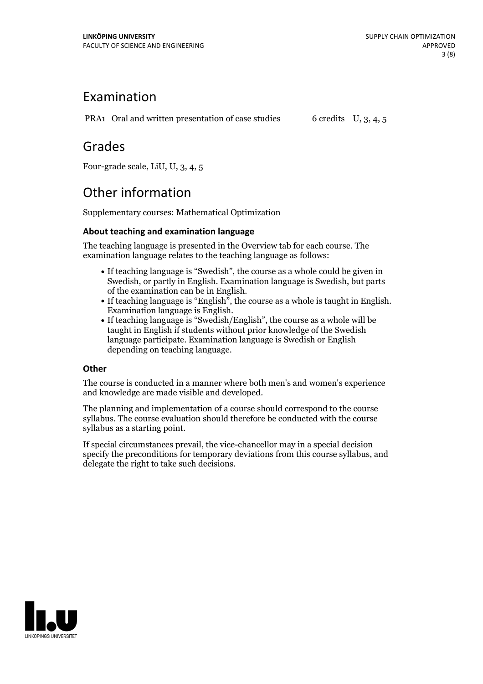## Examination

PRA1 Oral and written presentation of case studies 6 credits U, 3, 4, 5

## Grades

Four-grade scale, LiU, U, 3, 4, 5

# Other information

Supplementary courses: Mathematical Optimization

### **About teaching and examination language**

The teaching language is presented in the Overview tab for each course. The examination language relates to the teaching language as follows:

- If teaching language is "Swedish", the course as a whole could be given in Swedish, or partly in English. Examination language is Swedish, but parts
- of the examination can be in English. If teaching language is "English", the course as <sup>a</sup> whole is taught in English. Examination language is English. If teaching language is "Swedish/English", the course as <sup>a</sup> whole will be
- taught in English if students without prior knowledge of the Swedish language participate. Examination language is Swedish or English depending on teaching language.

### **Other**

The course is conducted in a manner where both men's and women's experience and knowledge are made visible and developed.

The planning and implementation of a course should correspond to the course syllabus. The course evaluation should therefore be conducted with the course syllabus as a starting point.

If special circumstances prevail, the vice-chancellor may in a special decision specify the preconditions for temporary deviations from this course syllabus, and delegate the right to take such decisions.

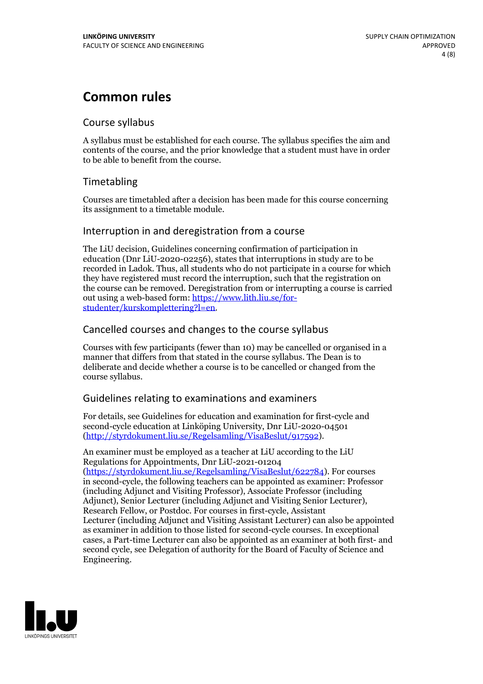## **Common rules**

### Course syllabus

A syllabus must be established for each course. The syllabus specifies the aim and contents of the course, and the prior knowledge that a student must have in order to be able to benefit from the course.

## Timetabling

Courses are timetabled after a decision has been made for this course concerning its assignment to a timetable module.

### Interruption in and deregistration from a course

The LiU decision, Guidelines concerning confirmation of participation in education (Dnr LiU-2020-02256), states that interruptions in study are to be recorded in Ladok. Thus, all students who do not participate in a course for which they have registered must record the interruption, such that the registration on the course can be removed. Deregistration from or interrupting a course is carried out using <sup>a</sup> web-based form: https://www.lith.liu.se/for- [studenter/kurskomplettering?l=en.](https://www.lith.liu.se/for-studenter/kurskomplettering?l=en)

## Cancelled courses and changes to the course syllabus

Courses with few participants (fewer than 10) may be cancelled or organised in a manner that differs from that stated in the course syllabus. The Dean is to deliberate and decide whether a course is to be cancelled or changed from the course syllabus.

## Guidelines relating to examinations and examiners

For details, see Guidelines for education and examination for first-cycle and second-cycle education at Linköping University, Dnr LiU-2020-04501 [\(http://styrdokument.liu.se/Regelsamling/VisaBeslut/917592\)](http://styrdokument.liu.se/Regelsamling/VisaBeslut/917592).

An examiner must be employed as a teacher at LiU according to the LiU Regulations for Appointments, Dnr LiU-2021-01204 [\(https://styrdokument.liu.se/Regelsamling/VisaBeslut/622784](https://styrdokument.liu.se/Regelsamling/VisaBeslut/622784)). For courses in second-cycle, the following teachers can be appointed as examiner: Professor (including Adjunct and Visiting Professor), Associate Professor (including Adjunct), Senior Lecturer (including Adjunct and Visiting Senior Lecturer), Research Fellow, or Postdoc. For courses in first-cycle, Assistant Lecturer (including Adjunct and Visiting Assistant Lecturer) can also be appointed as examiner in addition to those listed for second-cycle courses. In exceptional cases, a Part-time Lecturer can also be appointed as an examiner at both first- and second cycle, see Delegation of authority for the Board of Faculty of Science and Engineering.

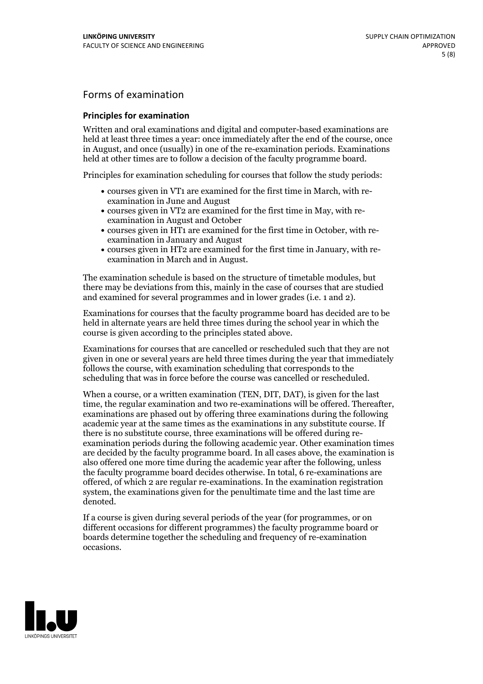## Forms of examination

#### **Principles for examination**

Written and oral examinations and digital and computer-based examinations are held at least three times a year: once immediately after the end of the course, once in August, and once (usually) in one of the re-examination periods. Examinations held at other times are to follow a decision of the faculty programme board.

Principles for examination scheduling for courses that follow the study periods:

- courses given in VT1 are examined for the first time in March, with re-examination in June and August
- courses given in VT2 are examined for the first time in May, with re-examination in August and October
- courses given in HT1 are examined for the first time in October, with re-examination in January and August
- courses given in HT2 are examined for the first time in January, with re-examination in March and in August.

The examination schedule is based on the structure of timetable modules, but there may be deviations from this, mainly in the case of courses that are studied and examined for several programmes and in lower grades (i.e. 1 and 2).

Examinations for courses that the faculty programme board has decided are to be held in alternate years are held three times during the school year in which the course is given according to the principles stated above.

Examinations for courses that are cancelled orrescheduled such that they are not given in one or several years are held three times during the year that immediately follows the course, with examination scheduling that corresponds to the scheduling that was in force before the course was cancelled or rescheduled.

When a course, or a written examination (TEN, DIT, DAT), is given for the last time, the regular examination and two re-examinations will be offered. Thereafter, examinations are phased out by offering three examinations during the following academic year at the same times as the examinations in any substitute course. If there is no substitute course, three examinations will be offered during re- examination periods during the following academic year. Other examination times are decided by the faculty programme board. In all cases above, the examination is also offered one more time during the academic year after the following, unless the faculty programme board decides otherwise. In total, 6 re-examinations are offered, of which 2 are regular re-examinations. In the examination registration system, the examinations given for the penultimate time and the last time are denoted.

If a course is given during several periods of the year (for programmes, or on different occasions for different programmes) the faculty programme board or boards determine together the scheduling and frequency of re-examination occasions.

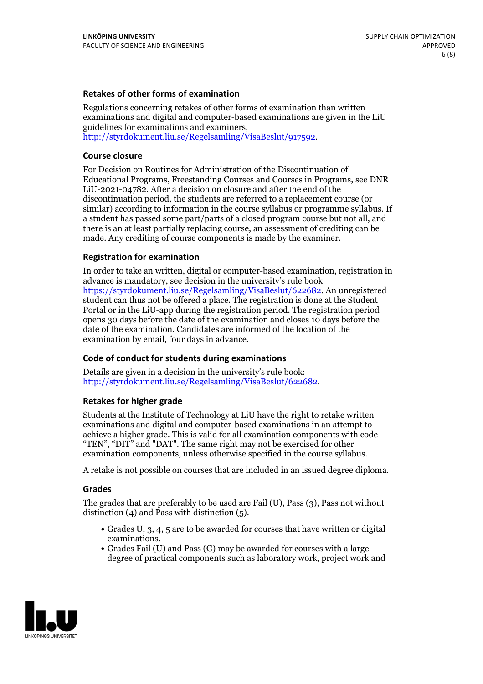#### **Retakes of other forms of examination**

Regulations concerning retakes of other forms of examination than written examinations and digital and computer-based examinations are given in the LiU guidelines for examinations and examiners, [http://styrdokument.liu.se/Regelsamling/VisaBeslut/917592.](http://styrdokument.liu.se/Regelsamling/VisaBeslut/917592)

#### **Course closure**

For Decision on Routines for Administration of the Discontinuation of Educational Programs, Freestanding Courses and Courses in Programs, see DNR LiU-2021-04782. After a decision on closure and after the end of the discontinuation period, the students are referred to a replacement course (or similar) according to information in the course syllabus or programme syllabus. If a student has passed some part/parts of a closed program course but not all, and there is an at least partially replacing course, an assessment of crediting can be made. Any crediting of course components is made by the examiner.

#### **Registration for examination**

In order to take an written, digital or computer-based examination, registration in advance is mandatory, see decision in the university's rule book [https://styrdokument.liu.se/Regelsamling/VisaBeslut/622682.](https://styrdokument.liu.se/Regelsamling/VisaBeslut/622682) An unregistered student can thus not be offered a place. The registration is done at the Student Portal or in the LiU-app during the registration period. The registration period opens 30 days before the date of the examination and closes 10 days before the date of the examination. Candidates are informed of the location of the examination by email, four days in advance.

#### **Code of conduct for students during examinations**

Details are given in a decision in the university's rule book: <http://styrdokument.liu.se/Regelsamling/VisaBeslut/622682>.

#### **Retakes for higher grade**

Students at the Institute of Technology at LiU have the right to retake written examinations and digital and computer-based examinations in an attempt to achieve a higher grade. This is valid for all examination components with code "TEN", "DIT" and "DAT". The same right may not be exercised for other examination components, unless otherwise specified in the course syllabus.

A retake is not possible on courses that are included in an issued degree diploma.

#### **Grades**

The grades that are preferably to be used are Fail (U), Pass (3), Pass not without distinction  $(4)$  and Pass with distinction  $(5)$ .

- Grades U, 3, 4, 5 are to be awarded for courses that have written or digital examinations.<br>• Grades Fail (U) and Pass (G) may be awarded for courses with a large
- degree of practical components such as laboratory work, project work and

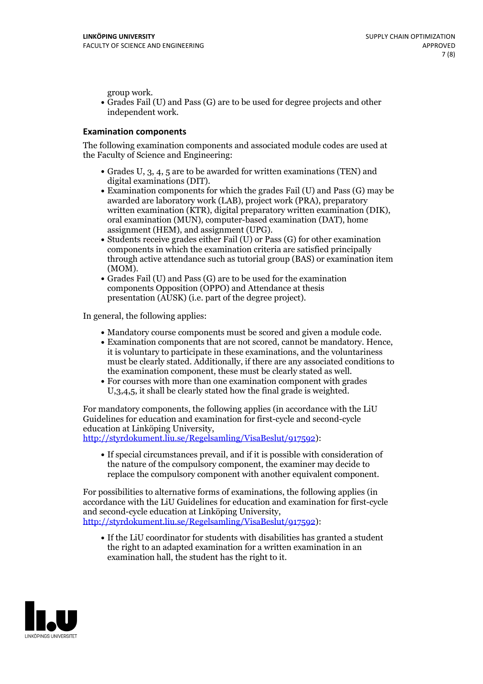group work.<br>• Grades Fail (U) and Pass (G) are to be used for degree projects and other independent work.

#### **Examination components**

The following examination components and associated module codes are used at the Faculty of Science and Engineering:

- Grades U, 3, 4, 5 are to be awarded for written examinations (TEN) and
- digital examinations (DIT).<br>• Examination components for which the grades Fail (U) and Pass (G) may be awarded are laboratory work (LAB), project work (PRA), preparatory written examination (KTR), digital preparatory written examination (DIK), oral examination (MUN), computer-based examination (DAT), home
- assignment (HEM), and assignment (UPG).<br>• Students receive grades either Fail (U) or Pass (G) for other examination components in which the examination criteria are satisfied principally through active attendance such as tutorial group (BAS) or examination item
- (MOM).<br>• Grades Fail (U) and Pass (G) are to be used for the examination components Opposition (OPPO) and Attendance at thesis presentation (AUSK) (i.e. part of the degree project).

In general, the following applies:

- 
- Mandatory course components must be scored and given <sup>a</sup> module code. Examination components that are not scored, cannot be mandatory. Hence, it is voluntary to participate in these examinations, and the voluntariness must be clearly stated. Additionally, if there are any associated conditions to
- the examination component, these must be clearly stated as well.<br>• For courses with more than one examination component with grades U,3,4,5, it shall be clearly stated how the final grade is weighted.

For mandatory components, the following applies (in accordance with the LiU Guidelines for education and examination for first-cycle and second-cycle education at Linköping University,<br>[http://styrdokument.liu.se/Regelsamling/VisaBeslut/917592\)](http://styrdokument.liu.se/Regelsamling/VisaBeslut/917592):

If special circumstances prevail, and if it is possible with consideration of the nature of the compulsory component, the examiner may decide to replace the compulsory component with another equivalent component.

For possibilities to alternative forms of examinations, the following applies (in accordance with the LiU Guidelines for education and examination for first-cycle [http://styrdokument.liu.se/Regelsamling/VisaBeslut/917592\)](http://styrdokument.liu.se/Regelsamling/VisaBeslut/917592):

If the LiU coordinator for students with disabilities has granted a student the right to an adapted examination for a written examination in an examination hall, the student has the right to it.